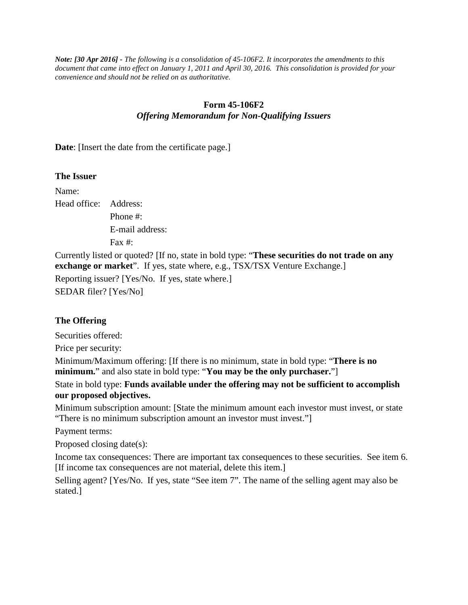*Note: [30 Apr 2016] - The following is a consolidation of 45-106F2. It incorporates the amendments to this document that came into effect on January 1, 2011 and April 30, 2016. This consolidation is provided for your convenience and should not be relied on as authoritative.*

#### **Form 45-106F2** *Offering Memorandum for Non-Qualifying Issuers*

**Date**: [Insert the date from the certificate page.]

#### **The Issuer**

Name: Head office: Address: Phone #: E-mail address: Fax #:

Currently listed or quoted? [If no, state in bold type: "**These securities do not trade on any exchange or market**". If yes, state where, e.g., TSX/TSX Venture Exchange.

Reporting issuer? [Yes/No. If yes, state where.] SEDAR filer? [Yes/No]

## **The Offering**

Securities offered:

Price per security:

Minimum/Maximum offering: [If there is no minimum, state in bold type: "**There is no minimum.**" and also state in bold type: "**You may be the only purchaser.**"]

State in bold type: **Funds available under the offering may not be sufficient to accomplish our proposed objectives.**

Minimum subscription amount: [State the minimum amount each investor must invest, or state "There is no minimum subscription amount an investor must invest."]

Payment terms:

Proposed closing date(s):

Income tax consequences: There are important tax consequences to these securities. See item 6. [If income tax consequences are not material, delete this item.]

Selling agent? [Yes/No. If yes, state "See item 7". The name of the selling agent may also be stated.]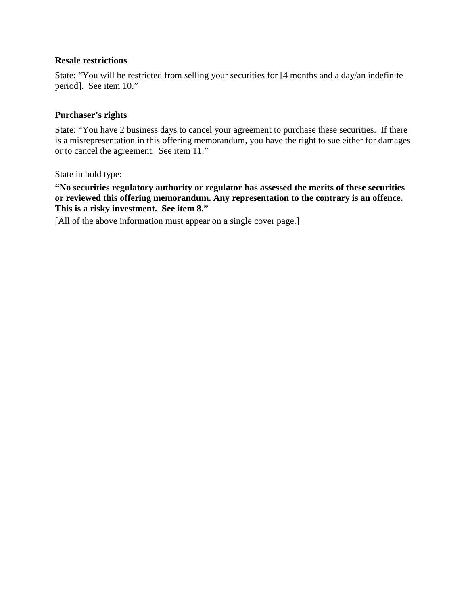#### **Resale restrictions**

State: "You will be restricted from selling your securities for [4 months and a day/an indefinite period]. See item 10."

#### **Purchaser's rights**

State: "You have 2 business days to cancel your agreement to purchase these securities. If there is a misrepresentation in this offering memorandum, you have the right to sue either for damages or to cancel the agreement. See item 11."

State in bold type:

**"No securities regulatory authority or regulator has assessed the merits of these securities or reviewed this offering memorandum. Any representation to the contrary is an offence. This is a risky investment. See item 8."**

[All of the above information must appear on a single cover page.]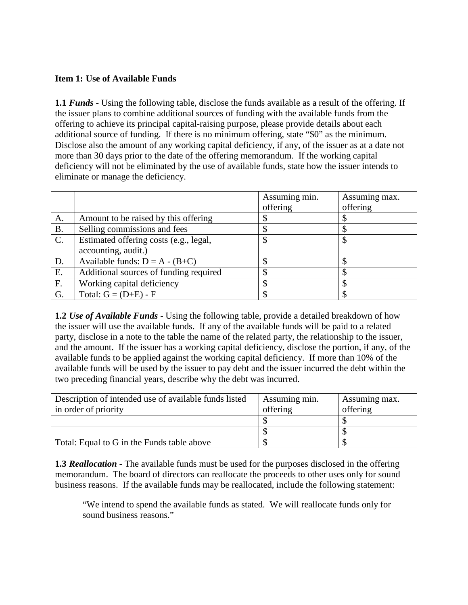#### **Item 1: Use of Available Funds**

**1.1** *Funds* - Using the following table, disclose the funds available as a result of the offering. If the issuer plans to combine additional sources of funding with the available funds from the offering to achieve its principal capital-raising purpose, please provide details about each additional source of funding. If there is no minimum offering, state "\$0" as the minimum. Disclose also the amount of any working capital deficiency, if any, of the issuer as at a date not more than 30 days prior to the date of the offering memorandum. If the working capital deficiency will not be eliminated by the use of available funds, state how the issuer intends to eliminate or manage the deficiency.

|           |                                        | Assuming min.<br>offering | Assuming max.<br>offering |
|-----------|----------------------------------------|---------------------------|---------------------------|
| A.        | Amount to be raised by this offering   |                           |                           |
| <b>B.</b> | Selling commissions and fees           |                           |                           |
| C.        | Estimated offering costs (e.g., legal, |                           |                           |
|           | accounting, audit.)                    |                           |                           |
| D.        | Available funds: $D = A - (B+C)$       |                           |                           |
| Ε.        | Additional sources of funding required |                           |                           |
| F.        | Working capital deficiency             |                           |                           |
| G.        | Total: $G = (D+E) - F$                 |                           |                           |

**1.2** *Use of Available Funds* - Using the following table, provide a detailed breakdown of how the issuer will use the available funds. If any of the available funds will be paid to a related party, disclose in a note to the table the name of the related party, the relationship to the issuer, and the amount. If the issuer has a working capital deficiency, disclose the portion, if any, of the available funds to be applied against the working capital deficiency. If more than 10% of the available funds will be used by the issuer to pay debt and the issuer incurred the debt within the two preceding financial years, describe why the debt was incurred.

| Description of intended use of available funds listed | Assuming min. | Assuming max. |
|-------------------------------------------------------|---------------|---------------|
| in order of priority                                  | offering      | offering      |
|                                                       |               |               |
|                                                       |               |               |
| Total: Equal to G in the Funds table above            |               |               |

**1.3** *Reallocation* - The available funds must be used for the purposes disclosed in the offering memorandum. The board of directors can reallocate the proceeds to other uses only for sound business reasons. If the available funds may be reallocated, include the following statement:

"We intend to spend the available funds as stated. We will reallocate funds only for sound business reasons."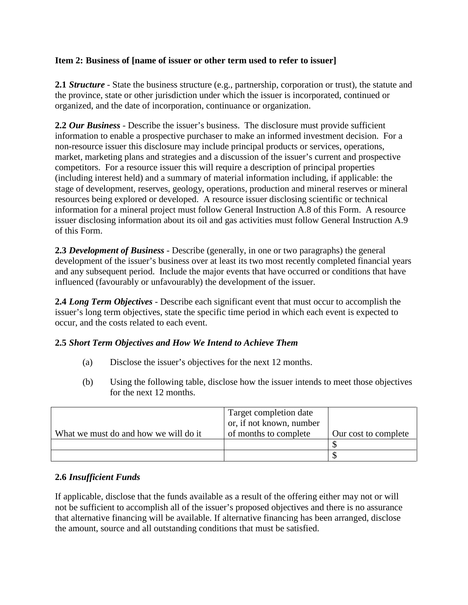## **Item 2: Business of [name of issuer or other term used to refer to issuer]**

**2.1** *Structure* - State the business structure (e.g., partnership, corporation or trust), the statute and the province, state or other jurisdiction under which the issuer is incorporated, continued or organized, and the date of incorporation, continuance or organization.

**2.2** *Our Business* - Describe the issuer's business. The disclosure must provide sufficient information to enable a prospective purchaser to make an informed investment decision. For a non-resource issuer this disclosure may include principal products or services, operations, market, marketing plans and strategies and a discussion of the issuer's current and prospective competitors. For a resource issuer this will require a description of principal properties (including interest held) and a summary of material information including, if applicable: the stage of development, reserves, geology, operations, production and mineral reserves or mineral resources being explored or developed. A resource issuer disclosing scientific or technical information for a mineral project must follow General Instruction A.8 of this Form. A resource issuer disclosing information about its oil and gas activities must follow General Instruction A.9 of this Form.

**2.3** *Development of Business* - Describe (generally, in one or two paragraphs) the general development of the issuer's business over at least its two most recently completed financial years and any subsequent period. Include the major events that have occurred or conditions that have influenced (favourably or unfavourably) the development of the issuer.

**2.4** *Long Term Objectives* - Describe each significant event that must occur to accomplish the issuer's long term objectives, state the specific time period in which each event is expected to occur, and the costs related to each event.

## **2.5** *Short Term Objectives and How We Intend to Achieve Them*

- (a) Disclose the issuer's objectives for the next 12 months.
- (b) Using the following table, disclose how the issuer intends to meet those objectives for the next 12 months.

| What we must do and how we will do it | Target completion date<br>or, if not known, number<br>of months to complete | Our cost to complete |
|---------------------------------------|-----------------------------------------------------------------------------|----------------------|
|                                       |                                                                             |                      |
|                                       |                                                                             |                      |

## **2.6** *Insufficient Funds*

If applicable, disclose that the funds available as a result of the offering either may not or will not be sufficient to accomplish all of the issuer's proposed objectives and there is no assurance that alternative financing will be available. If alternative financing has been arranged, disclose the amount, source and all outstanding conditions that must be satisfied.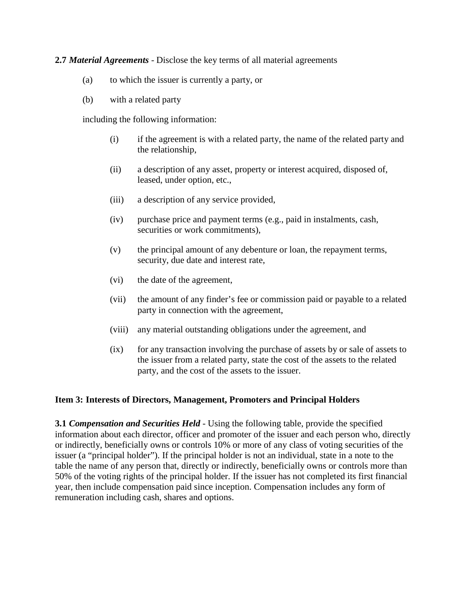**2.7** *Material Agreements* - Disclose the key terms of all material agreements

- (a) to which the issuer is currently a party, or
- (b) with a related party

including the following information:

- (i) if the agreement is with a related party, the name of the related party and the relationship,
- (ii) a description of any asset, property or interest acquired, disposed of, leased, under option, etc.,
- (iii) a description of any service provided,
- (iv) purchase price and payment terms (e.g., paid in instalments, cash, securities or work commitments),
- (v) the principal amount of any debenture or loan, the repayment terms, security, due date and interest rate,
- (vi) the date of the agreement,
- (vii) the amount of any finder's fee or commission paid or payable to a related party in connection with the agreement,
- (viii) any material outstanding obligations under the agreement, and
- (ix) for any transaction involving the purchase of assets by or sale of assets to the issuer from a related party, state the cost of the assets to the related party, and the cost of the assets to the issuer.

#### **Item 3: Interests of Directors, Management, Promoters and Principal Holders**

**3.1** *Compensation and Securities Held* - Using the following table, provide the specified information about each director, officer and promoter of the issuer and each person who, directly or indirectly, beneficially owns or controls 10% or more of any class of voting securities of the issuer (a "principal holder"). If the principal holder is not an individual, state in a note to the table the name of any person that, directly or indirectly, beneficially owns or controls more than 50% of the voting rights of the principal holder. If the issuer has not completed its first financial year, then include compensation paid since inception. Compensation includes any form of remuneration including cash, shares and options.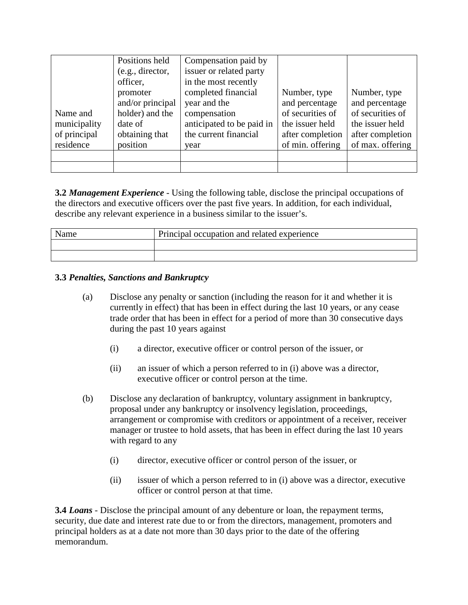|              | Positions held   | Compensation paid by      |                  |                  |
|--------------|------------------|---------------------------|------------------|------------------|
|              | (e.g., director, | issuer or related party   |                  |                  |
|              | officer,         | in the most recently      |                  |                  |
|              | promoter         | completed financial       | Number, type     | Number, type     |
|              | and/or principal | year and the              | and percentage   | and percentage   |
| Name and     | holder) and the  | compensation              | of securities of | of securities of |
| municipality | date of          | anticipated to be paid in | the issuer held  | the issuer held  |
| of principal | obtaining that   | the current financial     | after completion | after completion |
| residence    | position         | year                      | of min. offering | of max. offering |
|              |                  |                           |                  |                  |
|              |                  |                           |                  |                  |

**3.2** *Management Experience* - Using the following table, disclose the principal occupations of the directors and executive officers over the past five years. In addition, for each individual, describe any relevant experience in a business similar to the issuer's.

| Name | Principal occupation and related experience |  |  |
|------|---------------------------------------------|--|--|
|      |                                             |  |  |
|      |                                             |  |  |

## **3.3** *Penalties, Sanctions and Bankruptcy*

- (a) Disclose any penalty or sanction (including the reason for it and whether it is currently in effect) that has been in effect during the last 10 years, or any cease trade order that has been in effect for a period of more than 30 consecutive days during the past 10 years against
	- (i) a director, executive officer or control person of the issuer, or
	- (ii) an issuer of which a person referred to in (i) above was a director, executive officer or control person at the time.
- (b) Disclose any declaration of bankruptcy, voluntary assignment in bankruptcy, proposal under any bankruptcy or insolvency legislation, proceedings, arrangement or compromise with creditors or appointment of a receiver, receiver manager or trustee to hold assets, that has been in effect during the last 10 years with regard to any
	- (i) director, executive officer or control person of the issuer, or
	- (ii) issuer of which a person referred to in (i) above was a director, executive officer or control person at that time.

**3.4** *Loans* - Disclose the principal amount of any debenture or loan, the repayment terms, security, due date and interest rate due to or from the directors, management, promoters and principal holders as at a date not more than 30 days prior to the date of the offering memorandum.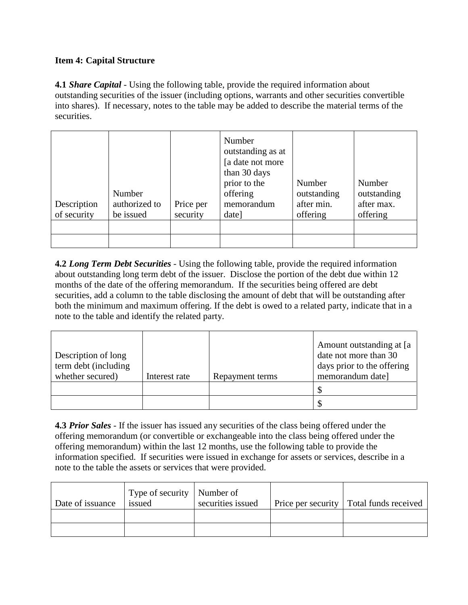## **Item 4: Capital Structure**

**4.1** *Share Capital* - Using the following table, provide the required information about outstanding securities of the issuer (including options, warrants and other securities convertible into shares). If necessary, notes to the table may be added to describe the material terms of the securities.

| Description<br>of security | Number<br>authorized to<br>be issued | Price per<br>security | Number<br>outstanding as at<br>[a date not more<br>than 30 days<br>prior to the<br>offering<br>memorandum<br>date] | Number<br>outstanding<br>after min.<br>offering | Number<br>outstanding<br>after max.<br>offering |
|----------------------------|--------------------------------------|-----------------------|--------------------------------------------------------------------------------------------------------------------|-------------------------------------------------|-------------------------------------------------|
|                            |                                      |                       |                                                                                                                    |                                                 |                                                 |
|                            |                                      |                       |                                                                                                                    |                                                 |                                                 |

**4.2** *Long Term Debt Securities* - Using the following table, provide the required information about outstanding long term debt of the issuer. Disclose the portion of the debt due within 12 months of the date of the offering memorandum. If the securities being offered are debt securities, add a column to the table disclosing the amount of debt that will be outstanding after both the minimum and maximum offering. If the debt is owed to a related party, indicate that in a note to the table and identify the related party.

| Description of long<br>term debt (including)<br>whether secured) | Interest rate | Repayment terms | Amount outstanding at [a]<br>date not more than 30<br>days prior to the offering<br>memorandum date] |
|------------------------------------------------------------------|---------------|-----------------|------------------------------------------------------------------------------------------------------|
|                                                                  |               |                 |                                                                                                      |
|                                                                  |               |                 |                                                                                                      |

**4.3** *Prior Sales* - If the issuer has issued any securities of the class being offered under the offering memorandum (or convertible or exchangeable into the class being offered under the offering memorandum) within the last 12 months, use the following table to provide the information specified. If securities were issued in exchange for assets or services, describe in a note to the table the assets or services that were provided.

| Date of issuance | Type of security   Number of<br>issued | securities issued | Price per security   Total funds received |
|------------------|----------------------------------------|-------------------|-------------------------------------------|
|                  |                                        |                   |                                           |
|                  |                                        |                   |                                           |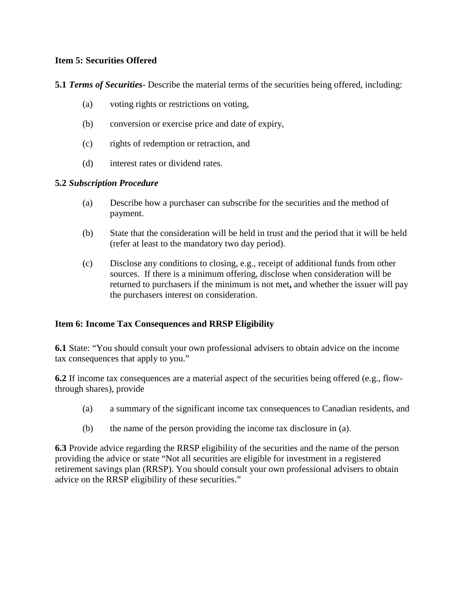#### **Item 5: Securities Offered**

**5.1** *Terms of Securities*- Describe the material terms of the securities being offered, including:

- (a) voting rights or restrictions on voting,
- (b) conversion or exercise price and date of expiry,
- (c) rights of redemption or retraction, and
- (d) interest rates or dividend rates.

#### **5.2** *Subscription Procedure*

- (a) Describe how a purchaser can subscribe for the securities and the method of payment.
- (b) State that the consideration will be held in trust and the period that it will be held (refer at least to the mandatory two day period).
- (c) Disclose any conditions to closing, e.g., receipt of additional funds from other sources. If there is a minimum offering, disclose when consideration will be returned to purchasers if the minimum is not met**,** and whether the issuer will pay the purchasers interest on consideration.

## **Item 6: Income Tax Consequences and RRSP Eligibility**

**6.1** State: "You should consult your own professional advisers to obtain advice on the income tax consequences that apply to you."

**6.2** If income tax consequences are a material aspect of the securities being offered (e.g., flowthrough shares), provide

- (a) a summary of the significant income tax consequences to Canadian residents, and
- (b) the name of the person providing the income tax disclosure in (a).

**6.3** Provide advice regarding the RRSP eligibility of the securities and the name of the person providing the advice or state "Not all securities are eligible for investment in a registered retirement savings plan (RRSP). You should consult your own professional advisers to obtain advice on the RRSP eligibility of these securities."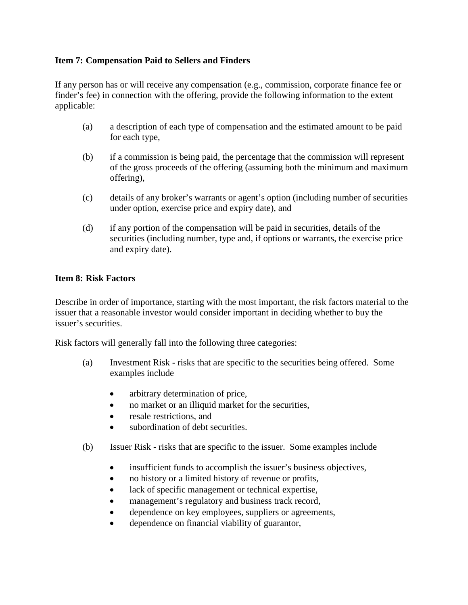## **Item 7: Compensation Paid to Sellers and Finders**

If any person has or will receive any compensation (e.g., commission, corporate finance fee or finder's fee) in connection with the offering, provide the following information to the extent applicable:

- (a) a description of each type of compensation and the estimated amount to be paid for each type,
- (b) if a commission is being paid, the percentage that the commission will represent of the gross proceeds of the offering (assuming both the minimum and maximum offering),
- (c) details of any broker's warrants or agent's option (including number of securities under option, exercise price and expiry date), and
- (d) if any portion of the compensation will be paid in securities, details of the securities (including number, type and, if options or warrants, the exercise price and expiry date).

#### **Item 8: Risk Factors**

Describe in order of importance, starting with the most important, the risk factors material to the issuer that a reasonable investor would consider important in deciding whether to buy the issuer's securities.

Risk factors will generally fall into the following three categories:

- (a) Investment Risk risks that are specific to the securities being offered. Some examples include
	- arbitrary determination of price,
	- no market or an illiquid market for the securities,
	- resale restrictions, and
	- subordination of debt securities.
- (b) Issuer Risk risks that are specific to the issuer. Some examples include
	- insufficient funds to accomplish the issuer's business objectives,
	- no history or a limited history of revenue or profits,
	- lack of specific management or technical expertise,
	- management's regulatory and business track record,
	- dependence on key employees, suppliers or agreements,
	- dependence on financial viability of guarantor,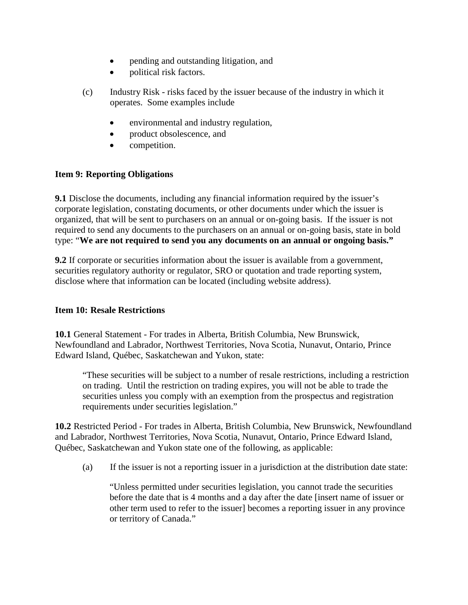- pending and outstanding litigation, and
- political risk factors.
- (c) Industry Risk risks faced by the issuer because of the industry in which it operates. Some examples include
	- environmental and industry regulation,
	- product obsolescence, and
	- competition.

# **Item 9: Reporting Obligations**

**9.1** Disclose the documents, including any financial information required by the issuer's corporate legislation, constating documents, or other documents under which the issuer is organized, that will be sent to purchasers on an annual or on-going basis. If the issuer is not required to send any documents to the purchasers on an annual or on-going basis, state in bold type: "**We are not required to send you any documents on an annual or ongoing basis."**

**9.2** If corporate or securities information about the issuer is available from a government, securities regulatory authority or regulator, SRO or quotation and trade reporting system, disclose where that information can be located (including website address).

## **Item 10: Resale Restrictions**

**10.1** General Statement - For trades in Alberta, British Columbia, New Brunswick, Newfoundland and Labrador, Northwest Territories, Nova Scotia, Nunavut, Ontario, Prince Edward Island, Québec, Saskatchewan and Yukon, state:

"These securities will be subject to a number of resale restrictions, including a restriction on trading. Until the restriction on trading expires, you will not be able to trade the securities unless you comply with an exemption from the prospectus and registration requirements under securities legislation."

**10.2** Restricted Period - For trades in Alberta, British Columbia, New Brunswick, Newfoundland and Labrador, Northwest Territories, Nova Scotia, Nunavut, Ontario, Prince Edward Island, Québec, Saskatchewan and Yukon state one of the following, as applicable:

(a) If the issuer is not a reporting issuer in a jurisdiction at the distribution date state:

"Unless permitted under securities legislation, you cannot trade the securities before the date that is 4 months and a day after the date [insert name of issuer or other term used to refer to the issuer] becomes a reporting issuer in any province or territory of Canada."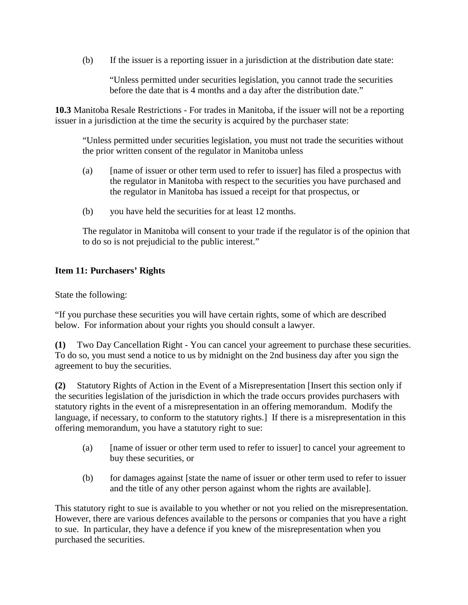(b) If the issuer is a reporting issuer in a jurisdiction at the distribution date state:

"Unless permitted under securities legislation, you cannot trade the securities before the date that is 4 months and a day after the distribution date."

**10.3** Manitoba Resale Restrictions - For trades in Manitoba, if the issuer will not be a reporting issuer in a jurisdiction at the time the security is acquired by the purchaser state:

"Unless permitted under securities legislation, you must not trade the securities without the prior written consent of the regulator in Manitoba unless

- (a) [name of issuer or other term used to refer to issuer] has filed a prospectus with the regulator in Manitoba with respect to the securities you have purchased and the regulator in Manitoba has issued a receipt for that prospectus, or
- (b) you have held the securities for at least 12 months.

The regulator in Manitoba will consent to your trade if the regulator is of the opinion that to do so is not prejudicial to the public interest."

# **Item 11: Purchasers' Rights**

State the following:

"If you purchase these securities you will have certain rights, some of which are described below. For information about your rights you should consult a lawyer.

**(1)** Two Day Cancellation Right - You can cancel your agreement to purchase these securities. To do so, you must send a notice to us by midnight on the 2nd business day after you sign the agreement to buy the securities.

**(2)** Statutory Rights of Action in the Event of a Misrepresentation [Insert this section only if the securities legislation of the jurisdiction in which the trade occurs provides purchasers with statutory rights in the event of a misrepresentation in an offering memorandum. Modify the language, if necessary, to conform to the statutory rights.] If there is a misrepresentation in this offering memorandum, you have a statutory right to sue:

- (a) [name of issuer or other term used to refer to issuer] to cancel your agreement to buy these securities, or
- (b) for damages against [state the name of issuer or other term used to refer to issuer and the title of any other person against whom the rights are available].

This statutory right to sue is available to you whether or not you relied on the misrepresentation. However, there are various defences available to the persons or companies that you have a right to sue. In particular, they have a defence if you knew of the misrepresentation when you purchased the securities.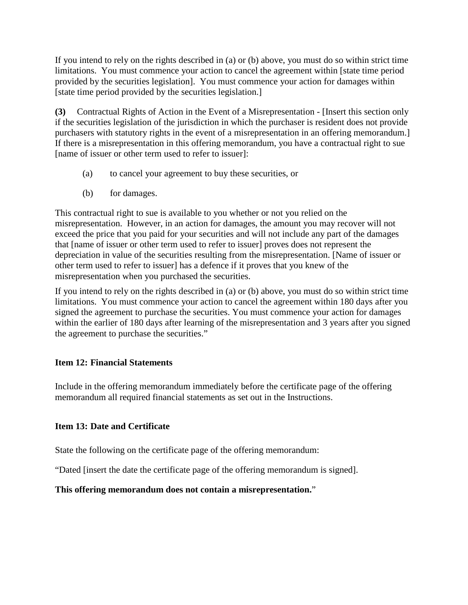If you intend to rely on the rights described in (a) or (b) above, you must do so within strict time limitations. You must commence your action to cancel the agreement within [state time period provided by the securities legislation]. You must commence your action for damages within [state time period provided by the securities legislation.]

**(3)** Contractual Rights of Action in the Event of a Misrepresentation - [Insert this section only if the securities legislation of the jurisdiction in which the purchaser is resident does not provide purchasers with statutory rights in the event of a misrepresentation in an offering memorandum.] If there is a misrepresentation in this offering memorandum, you have a contractual right to sue [name of issuer or other term used to refer to issuer]:

- (a) to cancel your agreement to buy these securities, or
- (b) for damages.

This contractual right to sue is available to you whether or not you relied on the misrepresentation. However, in an action for damages, the amount you may recover will not exceed the price that you paid for your securities and will not include any part of the damages that [name of issuer or other term used to refer to issuer] proves does not represent the depreciation in value of the securities resulting from the misrepresentation. [Name of issuer or other term used to refer to issuer] has a defence if it proves that you knew of the misrepresentation when you purchased the securities.

If you intend to rely on the rights described in (a) or (b) above, you must do so within strict time limitations. You must commence your action to cancel the agreement within 180 days after you signed the agreement to purchase the securities. You must commence your action for damages within the earlier of 180 days after learning of the misrepresentation and 3 years after you signed the agreement to purchase the securities."

## **Item 12: Financial Statements**

Include in the offering memorandum immediately before the certificate page of the offering memorandum all required financial statements as set out in the Instructions.

## **Item 13: Date and Certificate**

State the following on the certificate page of the offering memorandum:

"Dated [insert the date the certificate page of the offering memorandum is signed].

## **This offering memorandum does not contain a misrepresentation.**"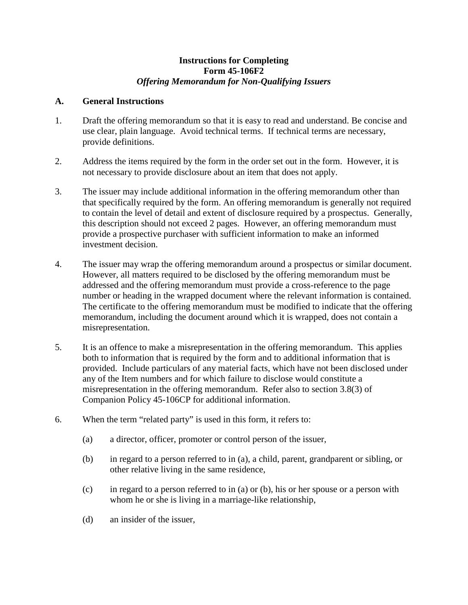#### **Instructions for Completing Form 45-106F2** *Offering Memorandum for Non-Qualifying Issuers*

#### **A. General Instructions**

- 1. Draft the offering memorandum so that it is easy to read and understand. Be concise and use clear, plain language. Avoid technical terms. If technical terms are necessary, provide definitions.
- 2. Address the items required by the form in the order set out in the form. However, it is not necessary to provide disclosure about an item that does not apply.
- 3. The issuer may include additional information in the offering memorandum other than that specifically required by the form. An offering memorandum is generally not required to contain the level of detail and extent of disclosure required by a prospectus. Generally, this description should not exceed 2 pages. However, an offering memorandum must provide a prospective purchaser with sufficient information to make an informed investment decision.
- 4. The issuer may wrap the offering memorandum around a prospectus or similar document. However, all matters required to be disclosed by the offering memorandum must be addressed and the offering memorandum must provide a cross-reference to the page number or heading in the wrapped document where the relevant information is contained. The certificate to the offering memorandum must be modified to indicate that the offering memorandum, including the document around which it is wrapped, does not contain a misrepresentation.
- 5. It is an offence to make a misrepresentation in the offering memorandum. This applies both to information that is required by the form and to additional information that is provided. Include particulars of any material facts, which have not been disclosed under any of the Item numbers and for which failure to disclose would constitute a misrepresentation in the offering memorandum. Refer also to section 3.8(3) of Companion Policy 45-106CP for additional information.
- 6. When the term "related party" is used in this form, it refers to:
	- (a) a director, officer, promoter or control person of the issuer,
	- (b) in regard to a person referred to in (a), a child, parent, grandparent or sibling, or other relative living in the same residence,
	- (c) in regard to a person referred to in (a) or (b), his or her spouse or a person with whom he or she is living in a marriage-like relationship,
	- (d) an insider of the issuer,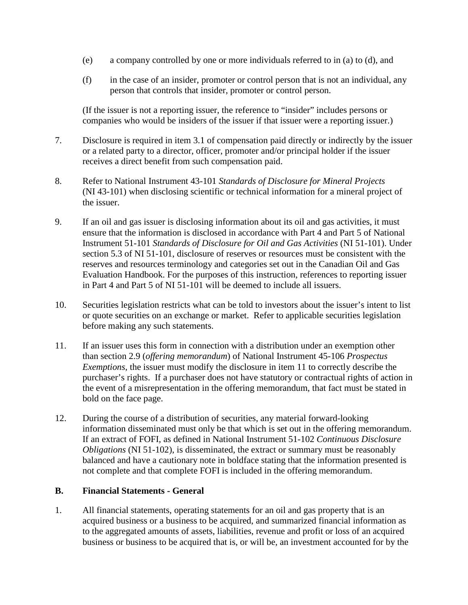- (e) a company controlled by one or more individuals referred to in (a) to (d), and
- (f) in the case of an insider, promoter or control person that is not an individual, any person that controls that insider, promoter or control person.

(If the issuer is not a reporting issuer, the reference to "insider" includes persons or companies who would be insiders of the issuer if that issuer were a reporting issuer.)

- 7. Disclosure is required in item 3.1 of compensation paid directly or indirectly by the issuer or a related party to a director, officer, promoter and/or principal holder if the issuer receives a direct benefit from such compensation paid.
- 8. Refer to National Instrument 43-101 *Standards of Disclosure for Mineral Projects* (NI 43-101) when disclosing scientific or technical information for a mineral project of the issuer.
- 9. If an oil and gas issuer is disclosing information about its oil and gas activities, it must ensure that the information is disclosed in accordance with Part 4 and Part 5 of National Instrument 51-101 *Standards of Disclosure for Oil and Gas Activities* (NI 51-101). Under section 5.3 of NI 51-101, disclosure of reserves or resources must be consistent with the reserves and resources terminology and categories set out in the Canadian Oil and Gas Evaluation Handbook. For the purposes of this instruction, references to reporting issuer in Part 4 and Part 5 of NI 51-101 will be deemed to include all issuers.
- 10. Securities legislation restricts what can be told to investors about the issuer's intent to list or quote securities on an exchange or market. Refer to applicable securities legislation before making any such statements.
- 11. If an issuer uses this form in connection with a distribution under an exemption other than section 2.9 (*offering memorandum*) of National Instrument 45-106 *Prospectus Exemptions*, the issuer must modify the disclosure in item 11 to correctly describe the purchaser's rights. If a purchaser does not have statutory or contractual rights of action in the event of a misrepresentation in the offering memorandum, that fact must be stated in bold on the face page.
- 12. During the course of a distribution of securities, any material forward-looking information disseminated must only be that which is set out in the offering memorandum. If an extract of FOFI, as defined in National Instrument 51-102 *Continuous Disclosure Obligations* (NI 51-102), is disseminated, the extract or summary must be reasonably balanced and have a cautionary note in boldface stating that the information presented is not complete and that complete FOFI is included in the offering memorandum.

## **B. Financial Statements - General**

1. All financial statements, operating statements for an oil and gas property that is an acquired business or a business to be acquired, and summarized financial information as to the aggregated amounts of assets, liabilities, revenue and profit or loss of an acquired business or business to be acquired that is, or will be, an investment accounted for by the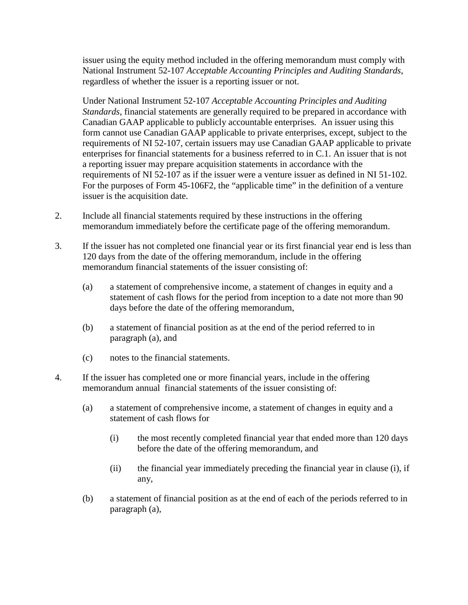issuer using the equity method included in the offering memorandum must comply with National Instrument 52-107 *Acceptable Accounting Principles and Auditing Standards*, regardless of whether the issuer is a reporting issuer or not.

Under National Instrument 52-107 *Acceptable Accounting Principles and Auditing Standards*, financial statements are generally required to be prepared in accordance with Canadian GAAP applicable to publicly accountable enterprises. An issuer using this form cannot use Canadian GAAP applicable to private enterprises, except, subject to the requirements of NI 52-107, certain issuers may use Canadian GAAP applicable to private enterprises for financial statements for a business referred to in C.1. An issuer that is not a reporting issuer may prepare acquisition statements in accordance with the requirements of NI 52-107 as if the issuer were a venture issuer as defined in NI 51-102. For the purposes of Form 45-106F2, the "applicable time" in the definition of a venture issuer is the acquisition date.

- 2. Include all financial statements required by these instructions in the offering memorandum immediately before the certificate page of the offering memorandum.
- 3. If the issuer has not completed one financial year or its first financial year end is less than 120 days from the date of the offering memorandum, include in the offering memorandum financial statements of the issuer consisting of:
	- (a) a statement of comprehensive income, a statement of changes in equity and a statement of cash flows for the period from inception to a date not more than 90 days before the date of the offering memorandum,
	- (b) a statement of financial position as at the end of the period referred to in paragraph (a), and
	- (c) notes to the financial statements.
- 4. If the issuer has completed one or more financial years, include in the offering memorandum annual financial statements of the issuer consisting of:
	- (a) a statement of comprehensive income, a statement of changes in equity and a statement of cash flows for
		- (i) the most recently completed financial year that ended more than 120 days before the date of the offering memorandum, and
		- (ii) the financial year immediately preceding the financial year in clause (i), if any,
	- (b) a statement of financial position as at the end of each of the periods referred to in paragraph (a),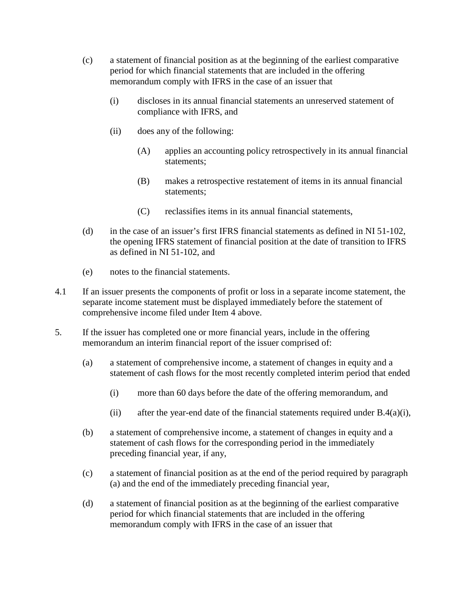- (c) a statement of financial position as at the beginning of the earliest comparative period for which financial statements that are included in the offering memorandum comply with IFRS in the case of an issuer that
	- (i) discloses in its annual financial statements an unreserved statement of compliance with IFRS, and
	- (ii) does any of the following:
		- (A) applies an accounting policy retrospectively in its annual financial statements;
		- (B) makes a retrospective restatement of items in its annual financial statements;
		- (C) reclassifies items in its annual financial statements,
- (d) in the case of an issuer's first IFRS financial statements as defined in NI 51-102, the opening IFRS statement of financial position at the date of transition to IFRS as defined in NI 51-102, and
- (e) notes to the financial statements.
- 4.1 If an issuer presents the components of profit or loss in a separate income statement, the separate income statement must be displayed immediately before the statement of comprehensive income filed under Item 4 above.
- 5. If the issuer has completed one or more financial years, include in the offering memorandum an interim financial report of the issuer comprised of:
	- (a) a statement of comprehensive income, a statement of changes in equity and a statement of cash flows for the most recently completed interim period that ended
		- (i) more than 60 days before the date of the offering memorandum, and
		- (ii) after the year-end date of the financial statements required under  $B.4(a)(i)$ ,
	- (b) a statement of comprehensive income, a statement of changes in equity and a statement of cash flows for the corresponding period in the immediately preceding financial year, if any,
	- (c) a statement of financial position as at the end of the period required by paragraph (a) and the end of the immediately preceding financial year,
	- (d) a statement of financial position as at the beginning of the earliest comparative period for which financial statements that are included in the offering memorandum comply with IFRS in the case of an issuer that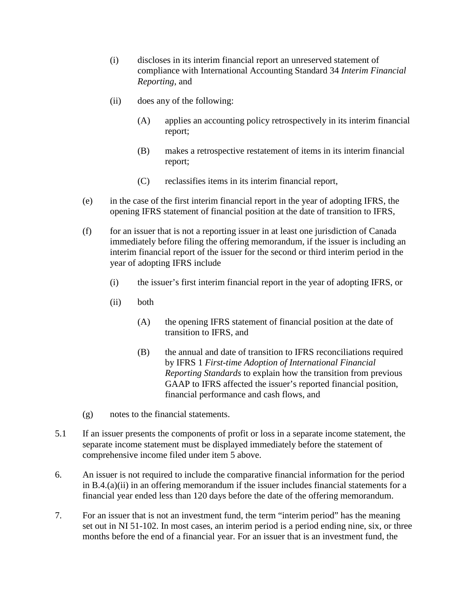- (i) discloses in its interim financial report an unreserved statement of compliance with International Accounting Standard 34 *Interim Financial Reporting*, and
- (ii) does any of the following:
	- (A) applies an accounting policy retrospectively in its interim financial report;
	- (B) makes a retrospective restatement of items in its interim financial report;
	- (C) reclassifies items in its interim financial report,
- (e) in the case of the first interim financial report in the year of adopting IFRS, the opening IFRS statement of financial position at the date of transition to IFRS,
- (f) for an issuer that is not a reporting issuer in at least one jurisdiction of Canada immediately before filing the offering memorandum, if the issuer is including an interim financial report of the issuer for the second or third interim period in the year of adopting IFRS include
	- (i) the issuer's first interim financial report in the year of adopting IFRS, or
	- (ii) both
		- (A) the opening IFRS statement of financial position at the date of transition to IFRS, and
		- (B) the annual and date of transition to IFRS reconciliations required by IFRS 1 *First-time Adoption of International Financial Reporting Standards* to explain how the transition from previous GAAP to IFRS affected the issuer's reported financial position, financial performance and cash flows, and
- (g) notes to the financial statements.
- 5.1 If an issuer presents the components of profit or loss in a separate income statement, the separate income statement must be displayed immediately before the statement of comprehensive income filed under item 5 above.
- 6. An issuer is not required to include the comparative financial information for the period in B.4.(a)(ii) in an offering memorandum if the issuer includes financial statements for a financial year ended less than 120 days before the date of the offering memorandum.
- 7. For an issuer that is not an investment fund, the term "interim period" has the meaning set out in NI 51-102. In most cases, an interim period is a period ending nine, six, or three months before the end of a financial year. For an issuer that is an investment fund, the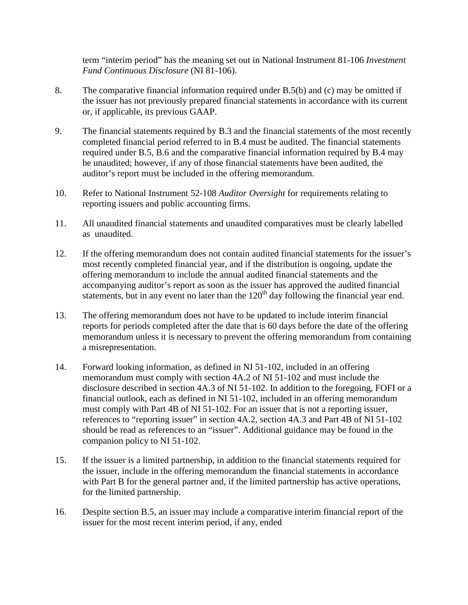term "interim period" has the meaning set out in National Instrument 81-106 *Investment Fund Continuous Disclosure* (NI 81-106).

- 8. The comparative financial information required under B.5(b) and (c) may be omitted if the issuer has not previously prepared financial statements in accordance with its current or, if applicable, its previous GAAP.
- 9. The financial statements required by B.3 and the financial statements of the most recently completed financial period referred to in B.4 must be audited. The financial statements required under B.5, B.6 and the comparative financial information required by B.4 may be unaudited; however, if any of those financial statements have been audited, the auditor's report must be included in the offering memorandum.
- 10. Refer to National Instrument 52-108 *Auditor Oversight* for requirements relating to reporting issuers and public accounting firms.
- 11. All unaudited financial statements and unaudited comparatives must be clearly labelled as unaudited.
- 12. If the offering memorandum does not contain audited financial statements for the issuer's most recently completed financial year, and if the distribution is ongoing, update the offering memorandum to include the annual audited financial statements and the accompanying auditor's report as soon as the issuer has approved the audited financial statements, but in any event no later than the  $120<sup>th</sup>$  day following the financial year end.
- 13. The offering memorandum does not have to be updated to include interim financial reports for periods completed after the date that is 60 days before the date of the offering memorandum unless it is necessary to prevent the offering memorandum from containing a misrepresentation.
- 14. Forward looking information, as defined in NI 51-102, included in an offering memorandum must comply with section 4A.2 of NI 51-102 and must include the disclosure described in section 4A.3 of NI 51-102. In addition to the foregoing, FOFI or a financial outlook, each as defined in NI 51-102, included in an offering memorandum must comply with Part 4B of NI 51-102. For an issuer that is not a reporting issuer, references to "reporting issuer" in section 4A.2, section 4A.3 and Part 4B of NI 51-102 should be read as references to an "issuer". Additional guidance may be found in the companion policy to NI 51-102.
- 15. If the issuer is a limited partnership, in addition to the financial statements required for the issuer, include in the offering memorandum the financial statements in accordance with Part B for the general partner and, if the limited partnership has active operations, for the limited partnership.
- 16. Despite section B.5, an issuer may include a comparative interim financial report of the issuer for the most recent interim period, if any, ended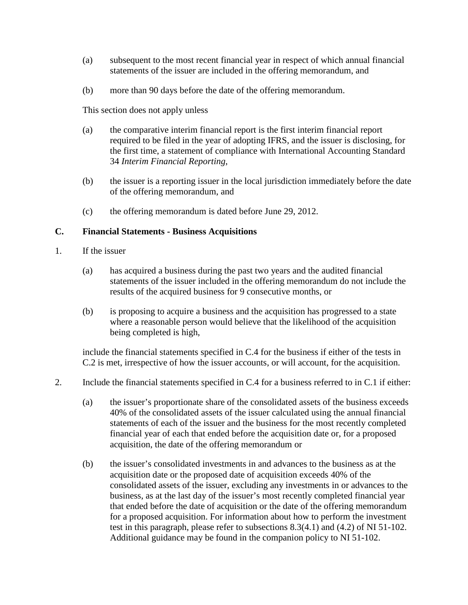- (a) subsequent to the most recent financial year in respect of which annual financial statements of the issuer are included in the offering memorandum, and
- (b) more than 90 days before the date of the offering memorandum.

This section does not apply unless

- (a) the comparative interim financial report is the first interim financial report required to be filed in the year of adopting IFRS, and the issuer is disclosing, for the first time, a statement of compliance with International Accounting Standard 34 *Interim Financial Reporting*,
- (b) the issuer is a reporting issuer in the local jurisdiction immediately before the date of the offering memorandum, and
- (c) the offering memorandum is dated before June 29, 2012.

#### **C. Financial Statements - Business Acquisitions**

- 1. If the issuer
	- (a) has acquired a business during the past two years and the audited financial statements of the issuer included in the offering memorandum do not include the results of the acquired business for 9 consecutive months, or
	- (b) is proposing to acquire a business and the acquisition has progressed to a state where a reasonable person would believe that the likelihood of the acquisition being completed is high,

include the financial statements specified in C.4 for the business if either of the tests in C.2 is met, irrespective of how the issuer accounts, or will account, for the acquisition.

- 2. Include the financial statements specified in C.4 for a business referred to in C.1 if either:
	- (a) the issuer's proportionate share of the consolidated assets of the business exceeds 40% of the consolidated assets of the issuer calculated using the annual financial statements of each of the issuer and the business for the most recently completed financial year of each that ended before the acquisition date or, for a proposed acquisition, the date of the offering memorandum or
	- (b) the issuer's consolidated investments in and advances to the business as at the acquisition date or the proposed date of acquisition exceeds 40% of the consolidated assets of the issuer, excluding any investments in or advances to the business, as at the last day of the issuer's most recently completed financial year that ended before the date of acquisition or the date of the offering memorandum for a proposed acquisition. For information about how to perform the investment test in this paragraph, please refer to subsections 8.3(4.1) and (4.2) of NI 51-102. Additional guidance may be found in the companion policy to NI 51-102.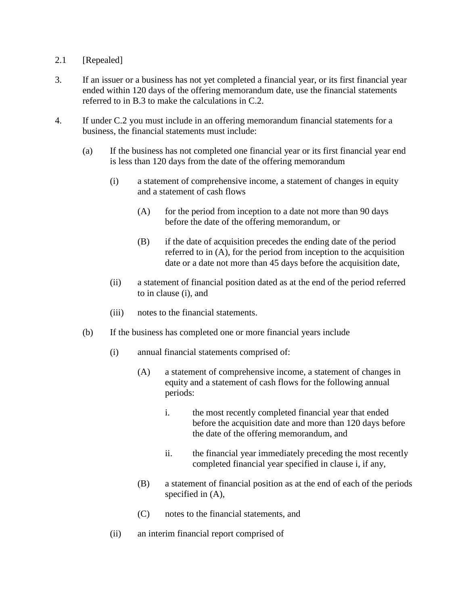- 2.1 [Repealed]
- 3. If an issuer or a business has not yet completed a financial year, or its first financial year ended within 120 days of the offering memorandum date, use the financial statements referred to in B.3 to make the calculations in C.2.
- 4. If under C.2 you must include in an offering memorandum financial statements for a business, the financial statements must include:
	- (a) If the business has not completed one financial year or its first financial year end is less than 120 days from the date of the offering memorandum
		- (i) a statement of comprehensive income, a statement of changes in equity and a statement of cash flows
			- (A) for the period from inception to a date not more than 90 days before the date of the offering memorandum, or
			- (B) if the date of acquisition precedes the ending date of the period referred to in (A), for the period from inception to the acquisition date or a date not more than 45 days before the acquisition date,
		- (ii) a statement of financial position dated as at the end of the period referred to in clause (i), and
		- (iii) notes to the financial statements.
	- (b) If the business has completed one or more financial years include
		- (i) annual financial statements comprised of:
			- (A) a statement of comprehensive income, a statement of changes in equity and a statement of cash flows for the following annual periods:
				- i. the most recently completed financial year that ended before the acquisition date and more than 120 days before the date of the offering memorandum, and
				- ii. the financial year immediately preceding the most recently completed financial year specified in clause i, if any,
			- (B) a statement of financial position as at the end of each of the periods specified in (A),
			- (C) notes to the financial statements, and
		- (ii) an interim financial report comprised of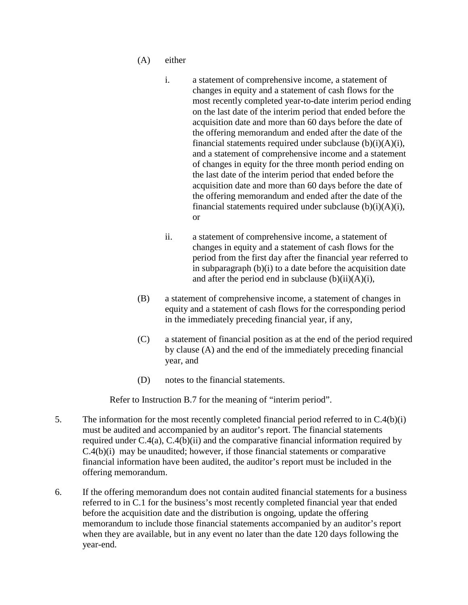- (A) either
	- i. a statement of comprehensive income, a statement of changes in equity and a statement of cash flows for the most recently completed year-to-date interim period ending on the last date of the interim period that ended before the acquisition date and more than 60 days before the date of the offering memorandum and ended after the date of the financial statements required under subclause  $(b)(i)(A)(i)$ , and a statement of comprehensive income and a statement of changes in equity for the three month period ending on the last date of the interim period that ended before the acquisition date and more than 60 days before the date of the offering memorandum and ended after the date of the financial statements required under subclause  $(b)(i)(A)(i)$ , or
	- ii. a statement of comprehensive income, a statement of changes in equity and a statement of cash flows for the period from the first day after the financial year referred to in subparagraph (b)(i) to a date before the acquisition date and after the period end in subclause  $(b)(ii)(A)(i)$ ,
- (B) a statement of comprehensive income, a statement of changes in equity and a statement of cash flows for the corresponding period in the immediately preceding financial year, if any,
- (C) a statement of financial position as at the end of the period required by clause (A) and the end of the immediately preceding financial year, and
- (D) notes to the financial statements.

Refer to Instruction B.7 for the meaning of "interim period".

- 5. The information for the most recently completed financial period referred to in C.4(b)(i) must be audited and accompanied by an auditor's report. The financial statements required under C.4(a), C.4(b)(ii) and the comparative financial information required by C.4(b)(i) may be unaudited; however, if those financial statements or comparative financial information have been audited, the auditor's report must be included in the offering memorandum.
- 6. If the offering memorandum does not contain audited financial statements for a business referred to in C.1 for the business's most recently completed financial year that ended before the acquisition date and the distribution is ongoing, update the offering memorandum to include those financial statements accompanied by an auditor's report when they are available, but in any event no later than the date 120 days following the year-end.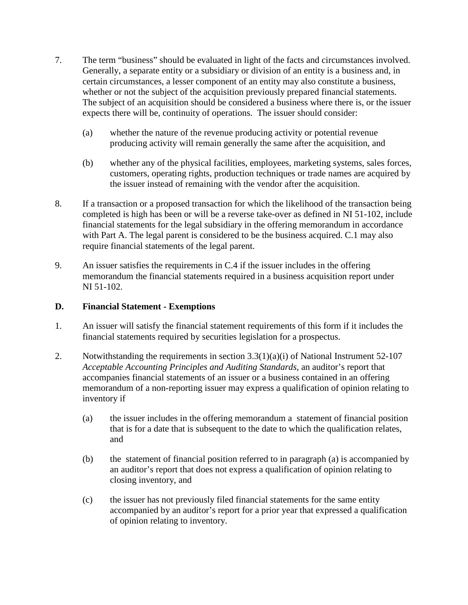- 7. The term "business" should be evaluated in light of the facts and circumstances involved. Generally, a separate entity or a subsidiary or division of an entity is a business and, in certain circumstances, a lesser component of an entity may also constitute a business, whether or not the subject of the acquisition previously prepared financial statements. The subject of an acquisition should be considered a business where there is, or the issuer expects there will be, continuity of operations. The issuer should consider:
	- (a) whether the nature of the revenue producing activity or potential revenue producing activity will remain generally the same after the acquisition, and
	- (b) whether any of the physical facilities, employees, marketing systems, sales forces, customers, operating rights, production techniques or trade names are acquired by the issuer instead of remaining with the vendor after the acquisition.
- 8. If a transaction or a proposed transaction for which the likelihood of the transaction being completed is high has been or will be a reverse take-over as defined in NI 51-102, include financial statements for the legal subsidiary in the offering memorandum in accordance with Part A. The legal parent is considered to be the business acquired. C.1 may also require financial statements of the legal parent.
- 9. An issuer satisfies the requirements in C.4 if the issuer includes in the offering memorandum the financial statements required in a business acquisition report under NI 51-102.

## **D. Financial Statement - Exemptions**

- 1. An issuer will satisfy the financial statement requirements of this form if it includes the financial statements required by securities legislation for a prospectus.
- 2. Notwithstanding the requirements in section 3.3(1)(a)(i) of National Instrument 52-107 *Acceptable Accounting Principles and Auditing Standards*, an auditor's report that accompanies financial statements of an issuer or a business contained in an offering memorandum of a non-reporting issuer may express a qualification of opinion relating to inventory if
	- (a) the issuer includes in the offering memorandum a statement of financial position that is for a date that is subsequent to the date to which the qualification relates, and
	- (b) the statement of financial position referred to in paragraph (a) is accompanied by an auditor's report that does not express a qualification of opinion relating to closing inventory, and
	- (c) the issuer has not previously filed financial statements for the same entity accompanied by an auditor's report for a prior year that expressed a qualification of opinion relating to inventory.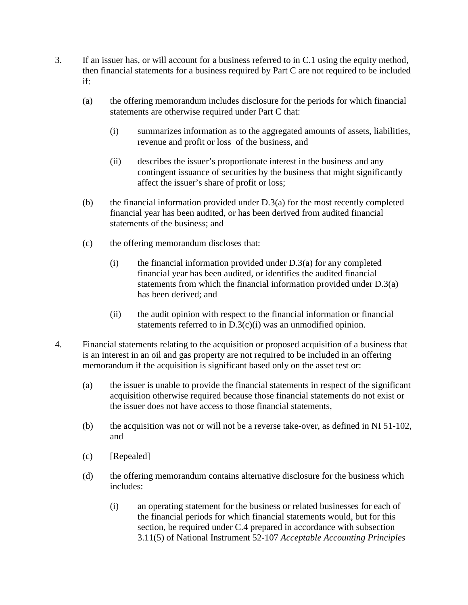- 3. If an issuer has, or will account for a business referred to in C.1 using the equity method, then financial statements for a business required by Part C are not required to be included if:
	- (a) the offering memorandum includes disclosure for the periods for which financial statements are otherwise required under Part C that:
		- (i) summarizes information as to the aggregated amounts of assets, liabilities, revenue and profit or loss of the business, and
		- (ii) describes the issuer's proportionate interest in the business and any contingent issuance of securities by the business that might significantly affect the issuer's share of profit or loss;
	- (b) the financial information provided under D.3(a) for the most recently completed financial year has been audited, or has been derived from audited financial statements of the business; and
	- (c) the offering memorandum discloses that:
		- (i) the financial information provided under  $D.3(a)$  for any completed financial year has been audited, or identifies the audited financial statements from which the financial information provided under D.3(a) has been derived; and
		- (ii) the audit opinion with respect to the financial information or financial statements referred to in D.3(c)(i) was an unmodified opinion.
- 4. Financial statements relating to the acquisition or proposed acquisition of a business that is an interest in an oil and gas property are not required to be included in an offering memorandum if the acquisition is significant based only on the asset test or:
	- (a) the issuer is unable to provide the financial statements in respect of the significant acquisition otherwise required because those financial statements do not exist or the issuer does not have access to those financial statements,
	- (b) the acquisition was not or will not be a reverse take-over, as defined in NI 51-102, and
	- (c) [Repealed]
	- (d) the offering memorandum contains alternative disclosure for the business which includes:
		- (i) an operating statement for the business or related businesses for each of the financial periods for which financial statements would, but for this section, be required under C.4 prepared in accordance with subsection 3.11(5) of National Instrument 52-107 *Acceptable Accounting Principles*